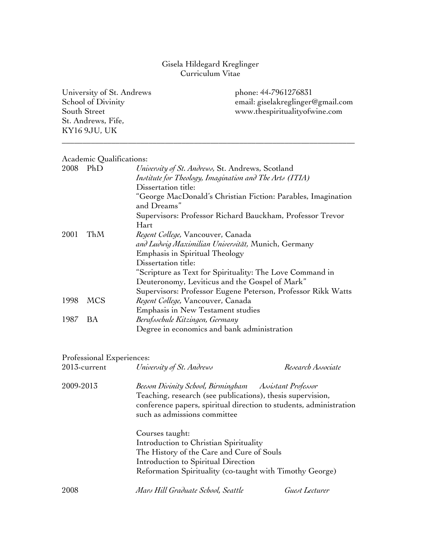## Gisela Hildegard Kreglinger Curriculum Vitae

University of St. Andrews phone: 44-7961276831 School of Divinity email: giselakreglinger@gmail.com South Street www.thespiritualityofwine.com St. Andrews, Fife, KY16 9JU, UK

\_\_\_\_\_\_\_\_\_\_\_\_\_\_\_\_\_\_\_\_\_\_\_\_\_\_\_\_\_\_\_\_\_\_\_\_\_\_\_\_\_\_\_\_\_\_\_\_\_\_\_\_\_\_\_\_\_\_\_\_\_\_\_\_\_\_\_\_\_\_\_

## Academic Qualifications:

| readenne gaanneumono |                                                                             |
|----------------------|-----------------------------------------------------------------------------|
| 2008<br>PhD          | University of St. Andrews, St. Andrews, Scotland                            |
|                      | Institute for Theology, Imagination and The Arts (ITIA)                     |
|                      | Dissertation title:                                                         |
|                      | "George MacDonald's Christian Fiction: Parables, Imagination<br>and Dreams" |
|                      | Supervisors: Professor Richard Bauckham, Professor Trevor                   |
|                      | Hart                                                                        |
| ThM                  | <i>Regent College, Vancouver, Canada</i>                                    |
|                      | and Ludwig Maximilian Universität, Munich, Germany                          |
|                      | Emphasis in Spiritual Theology                                              |
|                      | Dissertation title:                                                         |
|                      | "Scripture as Text for Spirituality: The Love Command in                    |
|                      | Deuteronomy, Leviticus and the Gospel of Mark"                              |
|                      | Supervisors: Professor Eugene Peterson, Professor Rikk Watts                |
| <b>MCS</b>           | Regent College, Vancouver, Canada                                           |
|                      | Emphasis in New Testament studies                                           |
| BA                   | Berufsschule Kitzingen, Germany                                             |
|                      | Degree in economics and bank administration                                 |
|                      |                                                                             |

## Professional Experiences:

| $2013$ -current | University of St. Andrews                                                                                                                                                                                                  | Research Associate |
|-----------------|----------------------------------------------------------------------------------------------------------------------------------------------------------------------------------------------------------------------------|--------------------|
| 2009-2013       | Beeson Divinity School, Birmingham Assistant Professor<br>Teaching, research (see publications), thesis supervision,<br>conference papers, spiritual direction to students, administration<br>such as admissions committee |                    |
|                 | Courses taught:<br>Introduction to Christian Spirituality<br>The History of the Care and Cure of Souls<br>Introduction to Spiritual Direction<br>Reformation Spirituality (co-taught with Timothy George)                  |                    |
| 2008            | Mars Hill Graduate School, Seattle                                                                                                                                                                                         | Guest Lecturer     |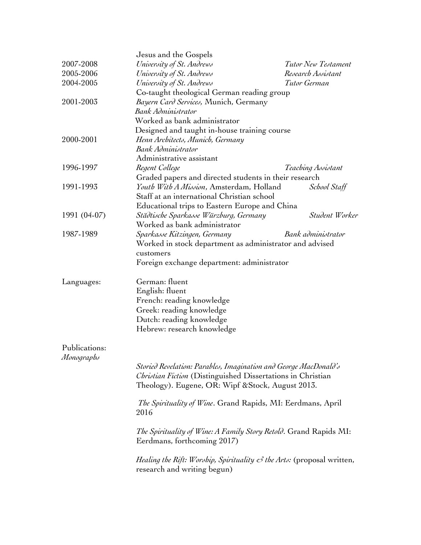|               | Jesus and the Gospels                                                                                |                     |
|---------------|------------------------------------------------------------------------------------------------------|---------------------|
| 2007-2008     | University of St. Andrews                                                                            | Tutor New Testament |
| 2005-2006     | University of St. Andrews                                                                            | Research Assistant  |
| 2004-2005     | University of St. Andrews                                                                            | Tutor German        |
|               | Co-taught theological German reading group                                                           |                     |
| 2001-2003     | Bayern Card Services, Munich, Germany                                                                |                     |
|               | <b>Bank Administrator</b>                                                                            |                     |
|               | Worked as bank administrator                                                                         |                     |
|               | Designed and taught in-house training course                                                         |                     |
| 2000-2001     | Henn Architects, Munich, Germany                                                                     |                     |
|               | <b>Bank Administrator</b>                                                                            |                     |
|               | Administrative assistant                                                                             |                     |
| 1996-1997     | Regent College                                                                                       | Teaching Assistant  |
|               | Graded papers and directed students in their research                                                |                     |
| 1991-1993     | Youth With A Mission, Amsterdam, Holland                                                             | School Staff        |
|               | Staff at an international Christian school                                                           |                     |
|               | Educational trips to Eastern Europe and China                                                        |                     |
| 1991 (04-07)  | Städtische Sparkasse Würzburg, Germany                                                               | Student Worker      |
|               | Worked as bank administrator                                                                         |                     |
| 1987-1989     | Sparkasse Kitzingen, Germany                                                                         | Bank administrator  |
|               | Worked in stock department as administrator and advised                                              |                     |
|               |                                                                                                      |                     |
|               | customers<br>Foreign exchange department: administrator                                              |                     |
|               |                                                                                                      |                     |
| Languages:    | German: fluent                                                                                       |                     |
|               | English: fluent                                                                                      |                     |
|               | French: reading knowledge                                                                            |                     |
|               | Greek: reading knowledge                                                                             |                     |
|               | Dutch: reading knowledge                                                                             |                     |
|               | Hebrew: research knowledge                                                                           |                     |
|               |                                                                                                      |                     |
| Publications: |                                                                                                      |                     |
| Monographs    |                                                                                                      |                     |
|               | Storied Revelation: Parables, Imagination and George MacDonald's                                     |                     |
|               | Christian Fiction (Distinguished Dissertations in Christian                                          |                     |
|               | Theology). Eugene, OR: Wipf & Stock, August 2013.                                                    |                     |
|               | <i>The Spirituality of Wine.</i> Grand Rapids, MI: Eerdmans, April                                   |                     |
|               | 2016                                                                                                 |                     |
|               |                                                                                                      |                     |
|               | The Spirituality of Wine: A Family Story Retold. Grand Rapids MI:                                    |                     |
|               | Eerdmans, forthcoming 2017)                                                                          |                     |
|               |                                                                                                      |                     |
|               | <i>Healing the Rift: Worship, Spirituality <math>\mathcal{C}</math> the Arts:</i> (proposal written, |                     |
|               | research and writing begun)                                                                          |                     |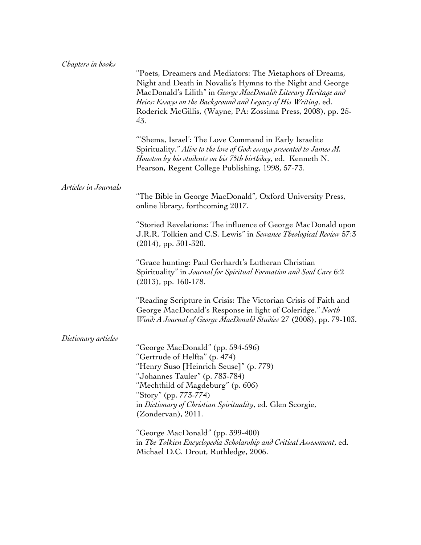| Chapters in books    | "Poets, Dreamers and Mediators: The Metaphors of Dreams,<br>Night and Death in Novalis's Hymns to the Night and George<br>MacDonald's Lilith" in George MacDonald: Literary Heritage and<br>Heirs: Essays on the Background and Legacy of His Writing, ed.<br>Roderick McGillis, (Wayne, PA: Zossima Press, 2008), pp. 25-<br>43. |
|----------------------|-----------------------------------------------------------------------------------------------------------------------------------------------------------------------------------------------------------------------------------------------------------------------------------------------------------------------------------|
|                      | "Shema, Israel': The Love Command in Early Israelite<br>Spirituality." Alive to the love of God: essays presented to James M.<br>Houston by his students on his 75th birthday, ed. Kenneth N.<br>Pearson, Regent College Publishing, 1998, 57-73.                                                                                 |
| Articles in Journals | "The Bible in George MacDonald", Oxford University Press,<br>online library, forthcoming 2017.                                                                                                                                                                                                                                    |
|                      | "Storied Revelations: The influence of George MacDonald upon<br>J.R.R. Tolkien and C.S. Lewis" in Sewanee Theological Review 57:3<br>$(2014)$ , pp. 301-320.                                                                                                                                                                      |
|                      | "Grace hunting: Paul Gerhardt's Lutheran Christian<br>Spirituality" in Journal for Spiritual Formation and Soul Care 6:2<br>$(2013)$ , pp. 160-178.                                                                                                                                                                               |
|                      | "Reading Scripture in Crisis: The Victorian Crisis of Faith and<br>George MacDonald's Response in light of Coleridge." North<br>Wind: A Journal of George MacDonald Studies 27 (2008), pp. 79-103.                                                                                                                                |
| Dictionary articles  | "George MacDonald" (pp. 594-596)<br>"Gertrude of Helfta" (p. 474)<br>"Henry Suso [Heinrich Seuse]" (p. 779)<br>"Johannes Tauler" (p. 783-784)<br>"Mechthild of Magdeburg" (p. 606)<br>"Story" (pp. 773-774)<br>in Dictionary of Christian Spirituality, ed. Glen Scorgie,<br>(Zondervan), 2011.                                   |
|                      | "George MacDonald" (pp. 399-400)<br>in The Tolkien Encyclopedia Scholarship and Critical Assessment, ed.<br>Michael D.C. Drout, Ruthledge, 2006.                                                                                                                                                                                  |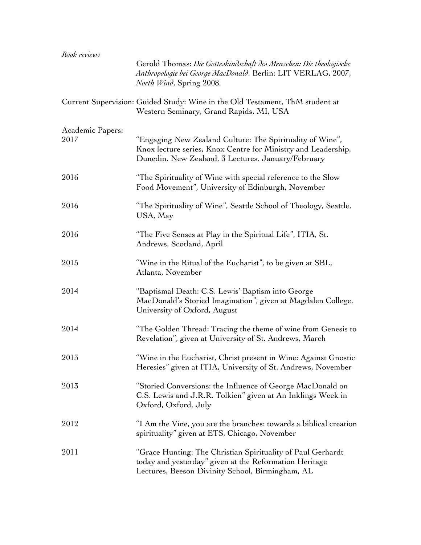| <b>Book</b> reviews      |                                                                                                                                                                                  |
|--------------------------|----------------------------------------------------------------------------------------------------------------------------------------------------------------------------------|
|                          | Gerold Thomas: Die Gotteskindschaft des Menschen: Die theologische<br>Anthropologie bei George MacDonald. Berlin: LIT VERLAG, 2007,<br><i>North Wind</i> , Spring 2008.          |
|                          | Current Supervision: Guided Study: Wine in the Old Testament, ThM student at<br>Western Seminary, Grand Rapids, MI, USA                                                          |
| Academic Papers:<br>2017 | "Engaging New Zealand Culture: The Spirituality of Wine",<br>Knox lecture series, Knox Centre for Ministry and Leadership,<br>Dunedin, New Zealand, 3 Lectures, January/February |
| 2016                     | "The Spirituality of Wine with special reference to the Slow<br>Food Movement", University of Edinburgh, November                                                                |
| 2016                     | "The Spirituality of Wine", Seattle School of Theology, Seattle,<br>USA, May                                                                                                     |
| 2016                     | "The Five Senses at Play in the Spiritual Life", ITIA, St.<br>Andrews, Scotland, April                                                                                           |
| 2015                     | "Wine in the Ritual of the Eucharist", to be given at SBL,<br>Atlanta, November                                                                                                  |
| 2014                     | "Baptismal Death: C.S. Lewis' Baptism into George<br>MacDonald's Storied Imagination", given at Magdalen College,<br>University of Oxford, August                                |
| 2014                     | "The Golden Thread: Tracing the theme of wine from Genesis to<br>Revelation", given at University of St. Andrews, March                                                          |
| 2013                     | "Wine in the Eucharist, Christ present in Wine: Against Gnostic<br>Heresies" given at ITIA, University of St. Andrews, November                                                  |
| 2013                     | "Storied Conversions: the Influence of George MacDonald on<br>C.S. Lewis and J.R.R. Tolkien" given at An Inklings Week in<br>Oxford, Oxford, July                                |
| 2012                     | "I Am the Vine, you are the branches: towards a biblical creation<br>spirituality" given at ETS, Chicago, November                                                               |
| 2011                     | "Grace Hunting: The Christian Spirituality of Paul Gerhardt<br>today and yesterday" given at the Reformation Heritage<br>Lectures, Beeson Divinity School, Birmingham, AL        |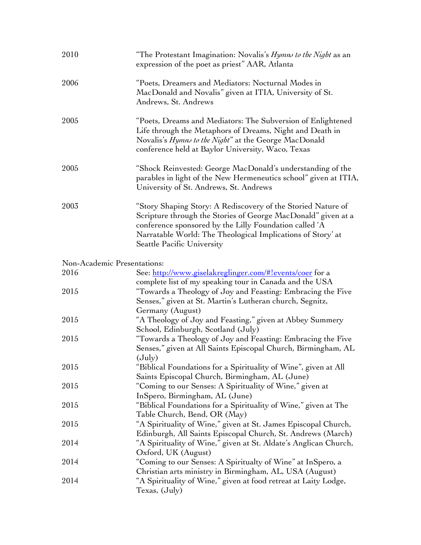| 2010 | "The Protestant Imagination: Novalis's <i>Hymns to the Night</i> as an<br>expression of the poet as priest" AAR, Atlanta                                                                                                                                                             |
|------|--------------------------------------------------------------------------------------------------------------------------------------------------------------------------------------------------------------------------------------------------------------------------------------|
| 2006 | "Poets, Dreamers and Mediators: Nocturnal Modes in<br>MacDonald and Novalis" given at ITIA, University of St.<br>Andrews, St. Andrews                                                                                                                                                |
| 2005 | "Poets, Dreams and Mediators: The Subversion of Enlightened<br>Life through the Metaphors of Dreams, Night and Death in<br>Novalis's Hymns to the Night" at the George MacDonald<br>conference held at Baylor University, Waco, Texas                                                |
| 2005 | "Shock Reinvested: George MacDonald's understanding of the<br>parables in light of the New Hermeneutics school" given at ITIA,<br>University of St. Andrews, St. Andrews                                                                                                             |
| 2003 | "Story Shaping Story: A Rediscovery of the Storied Nature of<br>Scripture through the Stories of George MacDonald" given at a<br>conference sponsored by the Lilly Foundation called 'A<br>Narratable World: The Theological Implications of Story' at<br>Seattle Pacific University |
|      | Non-Academic Presentations:                                                                                                                                                                                                                                                          |
| 2016 | See: http://www.giselakreglinger.com/#!events/coer for a                                                                                                                                                                                                                             |
| 2015 | complete list of my speaking tour in Canada and the USA<br>"Towards a Theology of Joy and Feasting: Embracing the Five<br>Senses," given at St. Martin's Lutheran church, Segnitz,<br>Germany (August)                                                                               |
| 2015 | "A Theology of Joy and Feasting," given at Abbey Summery<br>School, Edinburgh, Scotland (July)                                                                                                                                                                                       |
| 2015 | "Towards a Theology of Joy and Feasting: Embracing the Five<br>Senses," given at All Saints Episcopal Church, Birmingham, AL<br>$(\text{July})$                                                                                                                                      |
| 2015 | "Biblical Foundations for a Spirituality of Wine", given at All                                                                                                                                                                                                                      |
| 2015 | Saints Episcopal Church, Birmingham, AL (June)<br>"Coming to our Senses: A Spirituality of Wine," given at                                                                                                                                                                           |
|      | InSpero, Birmingham, AL (June)                                                                                                                                                                                                                                                       |
| 2015 | "Biblical Foundations for a Spirituality of Wine," given at The                                                                                                                                                                                                                      |
|      | Table Church, Bend, OR (May)                                                                                                                                                                                                                                                         |
| 2015 | "A Spirituality of Wine," given at St. James Episcopal Church,                                                                                                                                                                                                                       |
|      | Edinburgh, All Saints Episcopal Church, St. Andrews (March)                                                                                                                                                                                                                          |
| 2014 | "A Spirituality of Wine," given at St. Aldate's Anglican Church,                                                                                                                                                                                                                     |
|      | Oxford, UK (August)                                                                                                                                                                                                                                                                  |
| 2014 | "Coming to our Senses: A Spiritualty of Wine" at InSpero, a                                                                                                                                                                                                                          |
| 2014 | Christian arts ministry in Birmingham, AL, USA (August)<br>"A Spirituality of Wine," given at food retreat at Laity Lodge,                                                                                                                                                           |
|      | Texas, (July)                                                                                                                                                                                                                                                                        |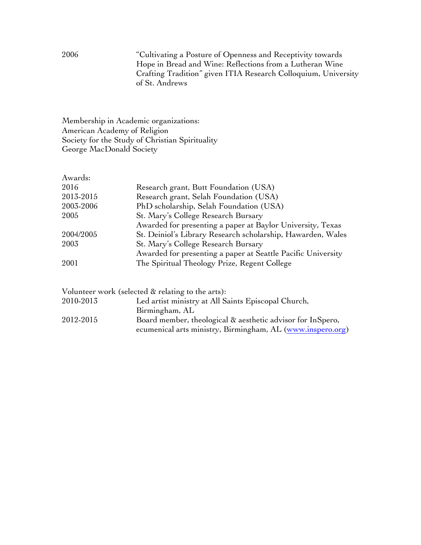2006 "Cultivating a Posture of Openness and Receptivity towards Hope in Bread and Wine: Reflections from a Lutheran Wine Crafting Tradition" given ITIA Research Colloquium, University of St. Andrews

Membership in Academic organizations: American Academy of Religion Society for the Study of Christian Spirituality George MacDonald Society

| Awards:   |                                                              |
|-----------|--------------------------------------------------------------|
| 2016      | Research grant, Butt Foundation (USA)                        |
| 2013-2015 | Research grant, Selah Foundation (USA)                       |
| 2003-2006 | PhD scholarship, Selah Foundation (USA)                      |
| 2005      | St. Mary's College Research Bursary                          |
|           | Awarded for presenting a paper at Baylor University, Texas   |
| 2004/2005 | St. Deiniol's Library Research scholarship, Hawarden, Wales  |
| 2003      | St. Mary's College Research Bursary                          |
|           | Awarded for presenting a paper at Seattle Pacific University |
| 2001      | The Spiritual Theology Prize, Regent College                 |
|           |                                                              |

|           | Volunteer work (selected & relating to the arts):          |
|-----------|------------------------------------------------------------|
| 2010-2013 | Led artist ministry at All Saints Episcopal Church,        |
|           | Birmingham, AL                                             |
| 2012-2015 | Board member, theological & aesthetic advisor for InSpero, |
|           | ecumenical arts ministry, Birmingham, AL (www.inspero.org) |